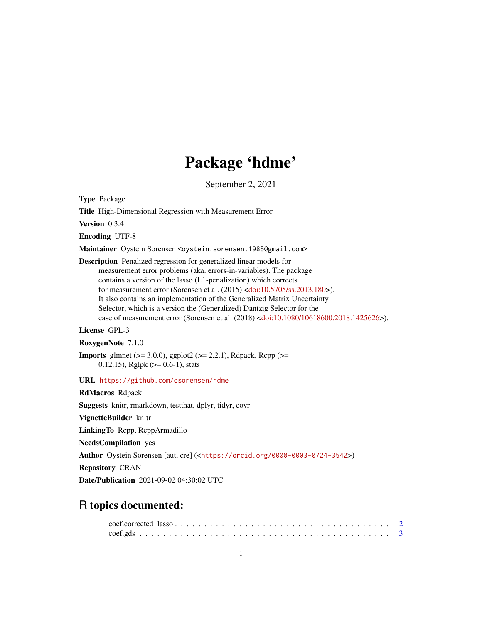# Package 'hdme'

September 2, 2021

Type Package

Title High-Dimensional Regression with Measurement Error

Version 0.3.4

Encoding UTF-8

Maintainer Oystein Sorensen <oystein.sorensen.1985@gmail.com>

Description Penalized regression for generalized linear models for measurement error problems (aka. errors-in-variables). The package contains a version of the lasso (L1-penalization) which corrects for measurement error (Sorensen et al. (2015) [<doi:10.5705/ss.2013.180>](https://doi.org/10.5705/ss.2013.180)). It also contains an implementation of the Generalized Matrix Uncertainty Selector, which is a version the (Generalized) Dantzig Selector for the case of measurement error (Sorensen et al. (2018) [<doi:10.1080/10618600.2018.1425626>](https://doi.org/10.1080/10618600.2018.1425626)).

License GPL-3

RoxygenNote 7.1.0

**Imports** glmnet ( $>= 3.0.0$ ), ggplot2 ( $>= 2.2.1$ ), Rdpack, Rcpp ( $>=$ 0.12.15), Rglpk ( $>= 0.6-1$ ), stats

URL <https://github.com/osorensen/hdme>

RdMacros Rdpack Suggests knitr, rmarkdown, testthat, dplyr, tidyr, covr VignetteBuilder knitr LinkingTo Rcpp, RcppArmadillo NeedsCompilation yes Author Oystein Sorensen [aut, cre] (<<https://orcid.org/0000-0003-0724-3542>>) Repository CRAN Date/Publication 2021-09-02 04:30:02 UTC

# R topics documented: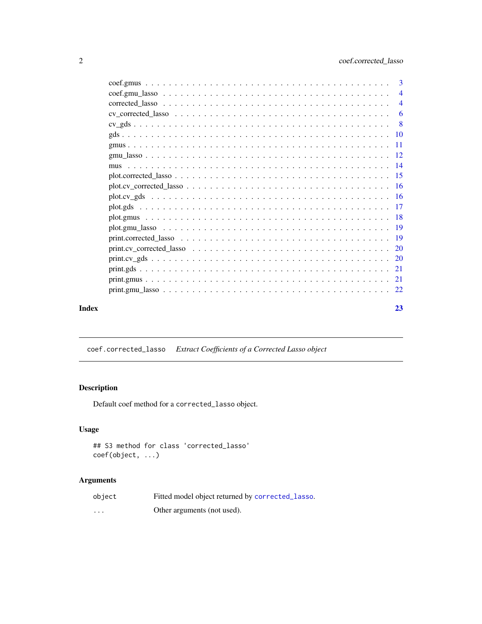<span id="page-1-0"></span>

|       |                                                                                                                          | $\overline{4}$ |
|-------|--------------------------------------------------------------------------------------------------------------------------|----------------|
|       |                                                                                                                          |                |
|       |                                                                                                                          |                |
|       |                                                                                                                          |                |
|       |                                                                                                                          |                |
|       |                                                                                                                          |                |
|       |                                                                                                                          |                |
|       |                                                                                                                          |                |
|       |                                                                                                                          |                |
|       |                                                                                                                          |                |
|       |                                                                                                                          |                |
|       |                                                                                                                          |                |
|       |                                                                                                                          |                |
|       |                                                                                                                          |                |
|       | print.cv corrected lasso $\ldots \ldots \ldots \ldots \ldots \ldots \ldots \ldots \ldots \ldots \ldots \ldots \ldots 20$ |                |
|       |                                                                                                                          |                |
|       |                                                                                                                          |                |
|       |                                                                                                                          |                |
|       |                                                                                                                          |                |
| Index |                                                                                                                          | 23             |

coef.corrected\_lasso *Extract Coefficients of a Corrected Lasso object*

# Description

Default coef method for a corrected\_lasso object.

# Usage

```
## S3 method for class 'corrected_lasso'
coef(object, ...)
```

| object                  | Fitted model object returned by corrected_lasso. |
|-------------------------|--------------------------------------------------|
| $\cdot$ $\cdot$ $\cdot$ | Other arguments (not used).                      |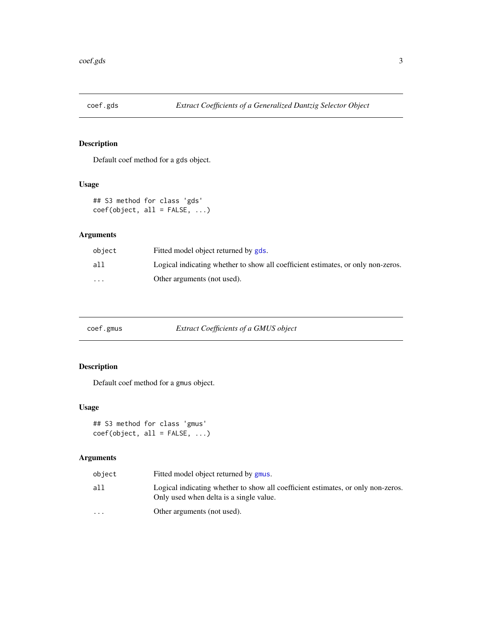<span id="page-2-0"></span>

Default coef method for a gds object.

# Usage

## S3 method for class 'gds' coef(object, all = FALSE, ...)

# Arguments

| object                  | Fitted model object returned by gds.                                             |
|-------------------------|----------------------------------------------------------------------------------|
| all                     | Logical indicating whether to show all coefficient estimates, or only non-zeros. |
| $\cdot$ $\cdot$ $\cdot$ | Other arguments (not used).                                                      |

| coef.gmus | Extract Coefficients of a GMUS object |  |
|-----------|---------------------------------------|--|
|           |                                       |  |

# Description

Default coef method for a gmus object.

# Usage

```
## S3 method for class 'gmus'
coef(object, all = FALSE, ...)
```

| object    | Fitted model object returned by gmus.                                                                                       |
|-----------|-----------------------------------------------------------------------------------------------------------------------------|
| all       | Logical indicating whether to show all coefficient estimates, or only non-zeros.<br>Only used when delta is a single value. |
| $\ddotsc$ | Other arguments (not used).                                                                                                 |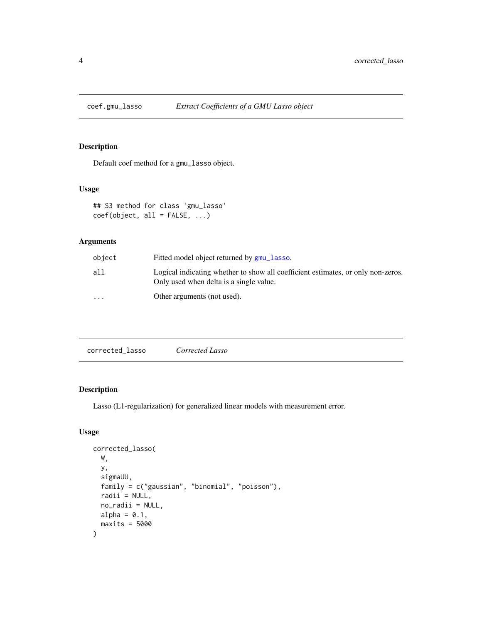<span id="page-3-0"></span>

Default coef method for a gmu\_lasso object.

#### Usage

## S3 method for class 'gmu\_lasso'  $coef(object, all = FALSE, ...)$ 

# Arguments

| object                  | Fitted model object returned by gmu_lasso.                                                                                  |
|-------------------------|-----------------------------------------------------------------------------------------------------------------------------|
| all                     | Logical indicating whether to show all coefficient estimates, or only non-zeros.<br>Only used when delta is a single value. |
| $\cdot$ $\cdot$ $\cdot$ | Other arguments (not used).                                                                                                 |

<span id="page-3-1"></span>

| corrected lasso | Corrected Lasso |  |  |
|-----------------|-----------------|--|--|
|-----------------|-----------------|--|--|

# Description

Lasso (L1-regularization) for generalized linear models with measurement error.

#### Usage

```
corrected_lasso(
 W,
 y,
  sigmaUU,
  family = c("gaussian", "binomial", "poisson"),
  radii = NULL,no_radii = NULL,
 alpha = 0.1,
 maxits = 5000\mathcal{E}
```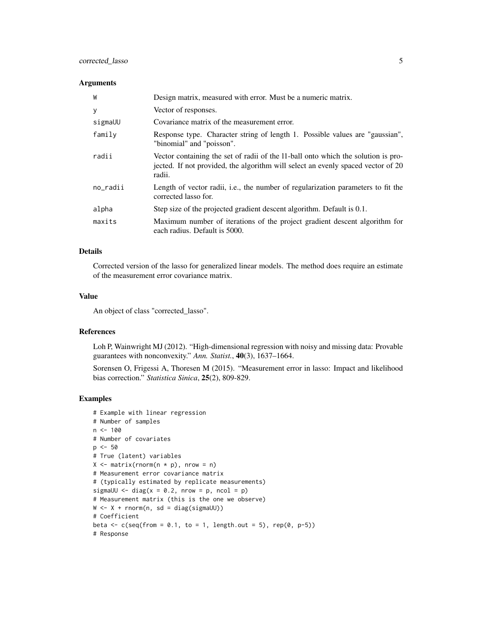# corrected\_lasso 5

### Arguments

| W        | Design matrix, measured with error. Must be a numeric matrix.                                                                                                                   |
|----------|---------------------------------------------------------------------------------------------------------------------------------------------------------------------------------|
| y        | Vector of responses.                                                                                                                                                            |
| sigmaUU  | Covariance matrix of the measurement error.                                                                                                                                     |
| family   | Response type. Character string of length 1. Possible values are "gaussian",<br>"binomial" and "poisson".                                                                       |
| radii    | Vector containing the set of radii of the 11-ball onto which the solution is pro-<br>jected. If not provided, the algorithm will select an evenly spaced vector of 20<br>radii. |
| no_radii | Length of vector radii, i.e., the number of regularization parameters to fit the<br>corrected lasso for.                                                                        |
| alpha    | Step size of the projected gradient descent algorithm. Default is 0.1.                                                                                                          |
| maxits   | Maximum number of iterations of the project gradient descent algorithm for<br>each radius. Default is 5000.                                                                     |

# Details

Corrected version of the lasso for generalized linear models. The method does require an estimate of the measurement error covariance matrix.

#### Value

An object of class "corrected\_lasso".

# References

Loh P, Wainwright MJ (2012). "High-dimensional regression with noisy and missing data: Provable guarantees with nonconvexity." *Ann. Statist.*, 40(3), 1637–1664.

Sorensen O, Frigessi A, Thoresen M (2015). "Measurement error in lasso: Impact and likelihood bias correction." *Statistica Sinica*, 25(2), 809-829.

```
# Example with linear regression
# Number of samples
n < -100# Number of covariates
p \le -50# True (latent) variables
X \leq - matrix(rnorm(n * p), nrow = n)
# Measurement error covariance matrix
# (typically estimated by replicate measurements)
sigmaUU \le diag(x = 0.2, nrow = p, ncol = p)
# Measurement matrix (this is the one we observe)
W \leftarrow X + \text{rnorm}(n, sd = \text{diag}(\text{sigmoid}U))# Coefficient
beta \leq c(seq(from = 0.1, to = 1, length.out = 5), rep(0, p-5))
# Response
```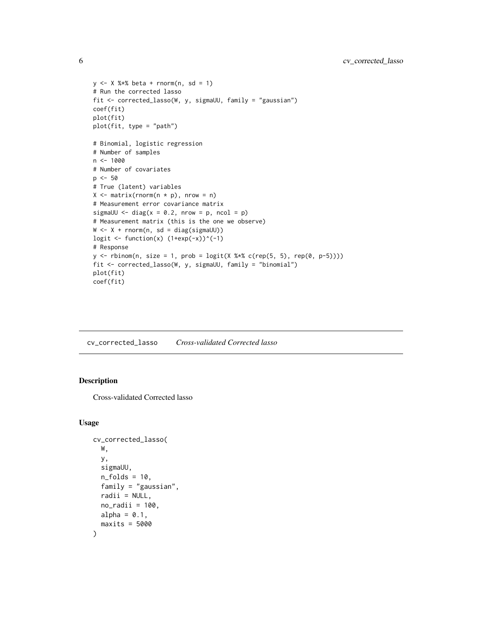```
y \le -x %*% beta + rnorm(n, sd = 1)
# Run the corrected lasso
fit <- corrected_lasso(W, y, sigmaUU, family = "gaussian")
coef(fit)
plot(fit)
plot(fit, type = "path")
# Binomial, logistic regression
# Number of samples
n < - 1000# Number of covariates
p \le -50# True (latent) variables
X \leq - matrix(rnorm(n * p), nrow = n)
# Measurement error covariance matrix
sigmaUU \le diag(x = 0.2, nrow = p, ncol = p)
# Measurement matrix (this is the one we observe)
W \leftarrow X + \text{norm}(n, sd = \text{diag}(\text{sigmoid}U))logit \leftarrow function(x) (1+exp(-x))^(-1)
# Response
y \le rbinom(n, size = 1, prob = logit(X %*% c(rep(5, 5), rep(0, p-5))))
fit <- corrected_lasso(W, y, sigmaUU, family = "binomial")
plot(fit)
coef(fit)
```
<span id="page-5-1"></span>cv\_corrected\_lasso *Cross-validated Corrected lasso*

# Description

Cross-validated Corrected lasso

#### Usage

```
cv_corrected_lasso(
 W,
  y,
  sigmaUU,
  n_folds = 10,
  family = "gaussian".radii = NULL,
  no\_radii = 100,alpha = 0.1,
  maxits = 5000)
```
<span id="page-5-0"></span>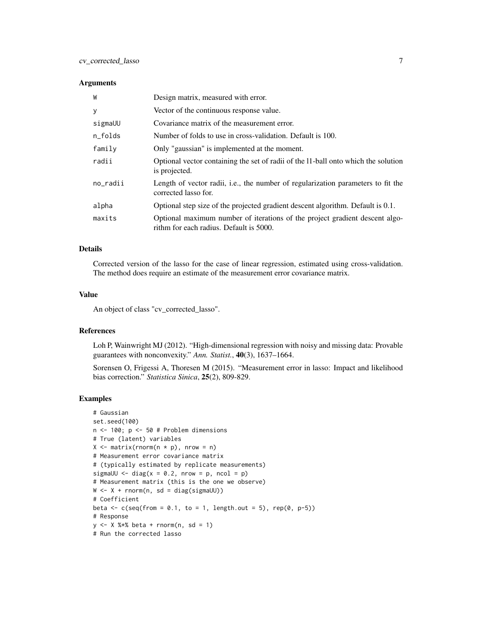#### Arguments

| W        | Design matrix, measured with error.                                                                                    |
|----------|------------------------------------------------------------------------------------------------------------------------|
| У        | Vector of the continuous response value.                                                                               |
| sigmaUU  | Covariance matrix of the measurement error.                                                                            |
| n_folds  | Number of folds to use in cross-validation. Default is 100.                                                            |
| family   | Only "gaussian" is implemented at the moment.                                                                          |
| radii    | Optional vector containing the set of radii of the 11-ball onto which the solution<br>is projected.                    |
| no_radii | Length of vector radii, i.e., the number of regularization parameters to fit the<br>corrected lasso for.               |
| alpha    | Optional step size of the projected gradient descent algorithm. Default is 0.1.                                        |
| maxits   | Optional maximum number of iterations of the project gradient descent algo-<br>rithm for each radius. Default is 5000. |

#### Details

Corrected version of the lasso for the case of linear regression, estimated using cross-validation. The method does require an estimate of the measurement error covariance matrix.

## Value

An object of class "cv\_corrected\_lasso".

#### References

Loh P, Wainwright MJ (2012). "High-dimensional regression with noisy and missing data: Provable guarantees with nonconvexity." *Ann. Statist.*, 40(3), 1637–1664.

Sorensen O, Frigessi A, Thoresen M (2015). "Measurement error in lasso: Impact and likelihood bias correction." *Statistica Sinica*, 25(2), 809-829.

```
# Gaussian
set.seed(100)
n \le -100; p \le -50 # Problem dimensions
# True (latent) variables
X \leq - matrix(rnorm(n * p), nrow = n)
# Measurement error covariance matrix
# (typically estimated by replicate measurements)
sigmaUU \le diag(x = 0.2, nrow = p, ncol = p)
# Measurement matrix (this is the one we observe)
W \leftarrow X + \text{norm}(n, sd = diag(signdU))# Coefficient
beta \leq c(seq(from = 0.1, to = 1, length.out = 5), rep(0, p-5))
# Response
y \le -x %*% beta + rnorm(n, sd = 1)
# Run the corrected lasso
```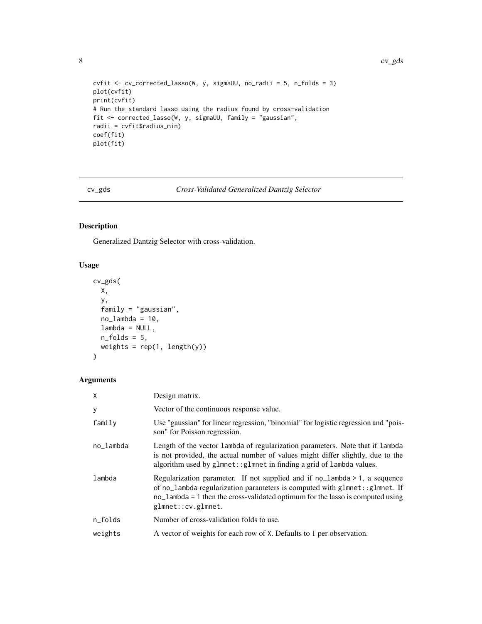```
cvfit <- cv_corrected_lasso(W, y, sigmaUU, no_radii = 5, n_folds = 3)
plot(cvfit)
print(cvfit)
# Run the standard lasso using the radius found by cross-validation
fit <- corrected_lasso(W, y, sigmaUU, family = "gaussian",
radii = cvfit$radius_min)
coef(fit)
plot(fit)
```
# cv\_gds *Cross-Validated Generalized Dantzig Selector*

# Description

Generalized Dantzig Selector with cross-validation.

#### Usage

```
cv_gds(
  X,
  y,
  family = "gaussian",
  no\_lambda = 10,
  lambda = NULL,
  n_folds = 5,
  weights = rep(1, length(y))\mathcal{L}
```

| X         | Design matrix.                                                                                                                                                                                                                                                      |
|-----------|---------------------------------------------------------------------------------------------------------------------------------------------------------------------------------------------------------------------------------------------------------------------|
| у         | Vector of the continuous response value.                                                                                                                                                                                                                            |
| family    | Use "gaussian" for linear regression, "binomial" for logistic regression and "pois-<br>son" for Poisson regression.                                                                                                                                                 |
| no_lambda | Length of the vector lambda of regularization parameters. Note that if lambda<br>is not provided, the actual number of values might differ slightly, due to the<br>algorithm used by glmnet:: glmnet in finding a grid of lambda values.                            |
| lambda    | Regularization parameter. If not supplied and if no_lambda > 1, a sequence<br>of no_lambda regularization parameters is computed with glmnet:: glmnet. If<br>$no$ ambda = 1 then the cross-validated optimum for the lasso is computed using<br>glmnet:: cv.glmnet. |
| n_folds   | Number of cross-validation folds to use.                                                                                                                                                                                                                            |
| weights   | A vector of weights for each row of X. Defaults to 1 per observation.                                                                                                                                                                                               |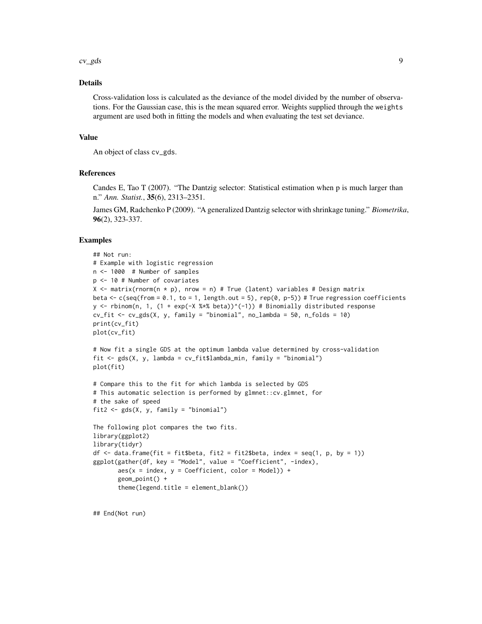cv\_gds 9

# Details

Cross-validation loss is calculated as the deviance of the model divided by the number of observations. For the Gaussian case, this is the mean squared error. Weights supplied through the weights argument are used both in fitting the models and when evaluating the test set deviance.

#### Value

An object of class cv\_gds.

# References

Candes E, Tao T (2007). "The Dantzig selector: Statistical estimation when p is much larger than n." *Ann. Statist.*, 35(6), 2313–2351.

James GM, Radchenko P (2009). "A generalized Dantzig selector with shrinkage tuning." *Biometrika*, 96(2), 323-337.

#### Examples

```
## Not run:
# Example with logistic regression
n <- 1000 # Number of samples
p <- 10 # Number of covariates
X \le - matrix(rnorm(n \times p), nrow = n) # True (latent) variables # Design matrix
beta \leq c(seq(from = 0.1, to = 1, length.out = 5), rep(0, p-5)) # True regression coefficients
y <- rbinom(n, 1, (1 + exp(-X %*% beta))^(-1)) # Binomially distributed response
cv_fit <- cv_gds(X, y, family = "binomial", no_lambda = 50, n_folds = 10)print(cv_fit)
plot(cv_fit)
# Now fit a single GDS at the optimum lambda value determined by cross-validation
fit \leq gds(X, y, lambda = cv_fit$lambda_min, family = "binomial")
plot(fit)
# Compare this to the fit for which lambda is selected by GDS
# This automatic selection is performed by glmnet::cv.glmnet, for
# the sake of speed
fit2 \leq gds(X, y, family = "binomial")
The following plot compares the two fits.
library(ggplot2)
library(tidyr)
df <- data.frame(fit = fit$beta, fit2 = fit2$beta, index = seq(1, p, by = 1))
ggplot(gather(df, key = "Model", value = "Coefficient", -index),
       aes(x = index, y = Coefficient, color = Model)) +geom_point() +
       theme(legend.title = element_blank())
```
## End(Not run)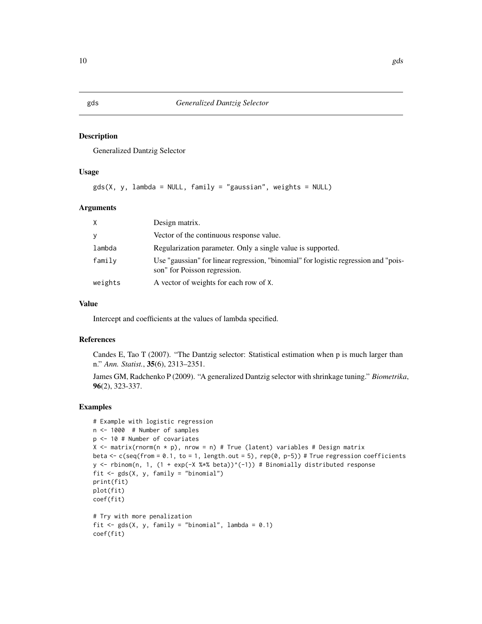<span id="page-9-1"></span><span id="page-9-0"></span>Generalized Dantzig Selector

### Usage

```
gds(X, y, \text{lambda} = \text{NULL}, \text{family} = "gaussian", weights = \text{NULL})
```
#### Arguments

| $\times$ | Design matrix.                                                                                                      |
|----------|---------------------------------------------------------------------------------------------------------------------|
| <b>V</b> | Vector of the continuous response value.                                                                            |
| lambda   | Regularization parameter. Only a single value is supported.                                                         |
| family   | Use "gaussian" for linear regression, "binomial" for logistic regression and "pois-<br>son" for Poisson regression. |
| weights  | A vector of weights for each row of X.                                                                              |

# Value

Intercept and coefficients at the values of lambda specified.

## References

Candes E, Tao T (2007). "The Dantzig selector: Statistical estimation when p is much larger than n." *Ann. Statist.*, 35(6), 2313–2351.

James GM, Radchenko P (2009). "A generalized Dantzig selector with shrinkage tuning." *Biometrika*, 96(2), 323-337.

```
# Example with logistic regression
n <- 1000 # Number of samples
p <- 10 # Number of covariates
X \le matrix(rnorm(n * p), nrow = n) # True (latent) variables # Design matrix
beta \leq c(seq(from = 0.1, to = 1, length.out = 5), rep(0, p-5)) # True regression coefficients
y <- rbinom(n, 1, (1 + exp(-X %*% beta))^(-1)) # Binomially distributed response
fit <- gds(X, y, family = "binomial")
print(fit)
plot(fit)
coef(fit)
# Try with more penalization
fit \leq gds(X, y, family = "binomial", lambda = 0.1)
coef(fit)
```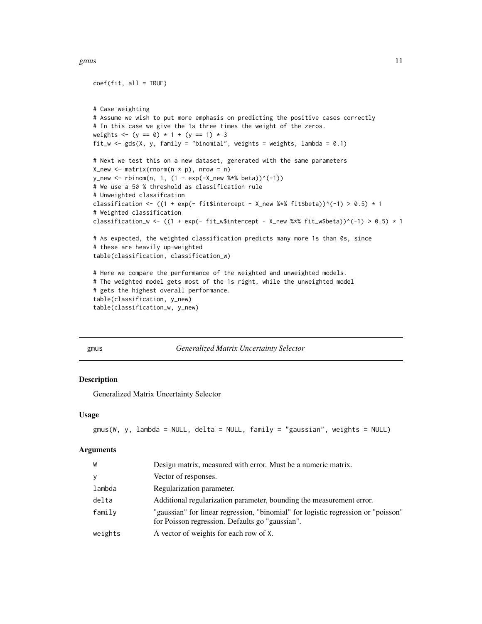#### <span id="page-10-0"></span>gmus  $11$

```
coef(fit, all = TRUE)
# Case weighting
# Assume we wish to put more emphasis on predicting the positive cases correctly
# In this case we give the 1s three times the weight of the zeros.
weights <- (y == 0) * 1 + (y == 1) * 3fit_w <- gds(X, y, family = "binomial", weights = weights, lambda = 0.1)# Next we test this on a new dataset, generated with the same parameters
X_new \leq matrix(rnorm(n * p), nrow = n)y_new \leq rbinom(n, 1, (1 + exp(-X_new %*) the)^(-1))# We use a 50 % threshold as classification rule
# Unweighted classifcation
classification <- ((1 + exp(- fit$intercept - X_new %*% fit$beta))^(-1) > 0.5) * 1
# Weighted classification
classification_w <- ((1 + exp(- fit_w$intercept - X_new %*% fit_w$beta))^(-1) > 0.5) * 1
# As expected, the weighted classification predicts many more 1s than 0s, since
# these are heavily up-weighted
table(classification, classification_w)
# Here we compare the performance of the weighted and unweighted models.
# The weighted model gets most of the 1s right, while the unweighted model
# gets the highest overall performance.
table(classification, y_new)
table(classification_w, y_new)
```
<span id="page-10-1"></span>

#### gmus *Generalized Matrix Uncertainty Selector*

#### Description

Generalized Matrix Uncertainty Selector

#### Usage

```
gmus(W, y, lambda = NULL, delta = NULL, family = "gaussian", weights = NULL)
```

| W       | Design matrix, measured with error. Must be a numeric matrix.                                                                        |
|---------|--------------------------------------------------------------------------------------------------------------------------------------|
| y       | Vector of responses.                                                                                                                 |
| lambda  | Regularization parameter.                                                                                                            |
| delta   | Additional regularization parameter, bounding the measurement error.                                                                 |
| family  | "gaussian" for linear regression, "binomial" for logistic regression or "poisson"<br>for Poisson regression. Defaults go "gaussian". |
| weights | A vector of weights for each row of X.                                                                                               |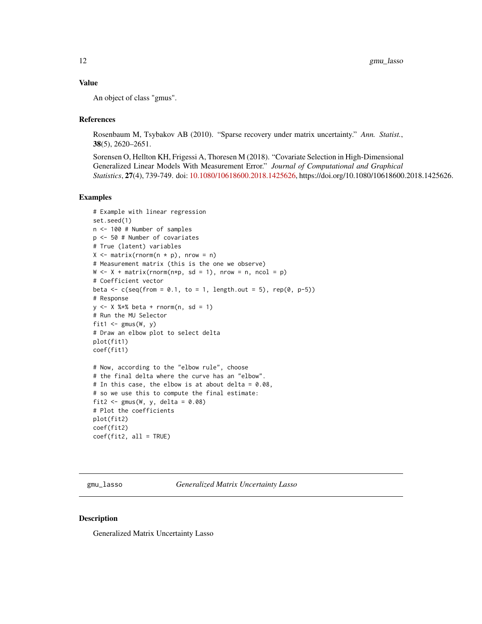# <span id="page-11-0"></span>Value

An object of class "gmus".

#### References

Rosenbaum M, Tsybakov AB (2010). "Sparse recovery under matrix uncertainty." *Ann. Statist.*, 38(5), 2620–2651.

Sorensen O, Hellton KH, Frigessi A, Thoresen M (2018). "Covariate Selection in High-Dimensional Generalized Linear Models With Measurement Error." *Journal of Computational and Graphical Statistics*, 27(4), 739-749. doi: [10.1080/10618600.2018.1425626,](https://doi.org/10.1080/10618600.2018.1425626) https://doi.org/10.1080/10618600.2018.1425626.

#### Examples

```
# Example with linear regression
set.seed(1)
n <- 100 # Number of samples
p <- 50 # Number of covariates
# True (latent) variables
X \leq - matrix(rnorm(n * p), nrow = n)
# Measurement matrix (this is the one we observe)
W \le -X + \text{matrix}(r \cdot n \cdot r \cdot n, sd = 1), n \cdot r \cdot (n \cdot n \cdot s \cdot n) = n, n \cdot (s \cdot 1 \cdot n \cdot s \cdot n)# Coefficient vector
beta \leq c(seq(from = 0.1, to = 1, length.out = 5), rep(0, p-5))
# Response
y <- X %*% beta + rnorm(n, sd = 1)
# Run the MU Selector
fit1 \leq gmus(W, y)
# Draw an elbow plot to select delta
plot(fit1)
coef(fit1)
# Now, according to the "elbow rule", choose
# the final delta where the curve has an "elbow".
# In this case, the elbow is at about delta = 0.08,
# so we use this to compute the final estimate:
fit2 \leftarrow gmus(W, y, delta = 0.08)
# Plot the coefficients
plot(fit2)
coef(fit2)
coef(fit2, all = TRUE)
```
<span id="page-11-1"></span>gmu\_lasso *Generalized Matrix Uncertainty Lasso*

#### Description

Generalized Matrix Uncertainty Lasso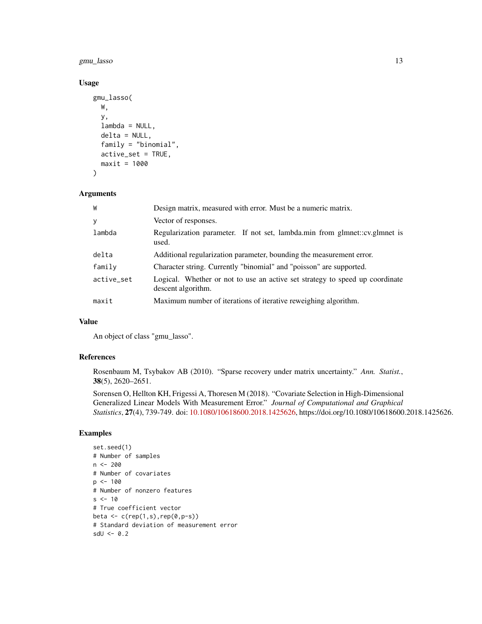gmu\_lasso 13

# Usage

```
gmu_lasso(
 W,
  y,
  lambda = NULL,delta = NULL,
  family = "binomial",
  active_set = TRUE,
 maxit = 1000)
```
#### Arguments

| W          | Design matrix, measured with error. Must be a numeric matrix.                                      |
|------------|----------------------------------------------------------------------------------------------------|
| y          | Vector of responses.                                                                               |
| lambda     | Regularization parameter. If not set, lambda.min from glmnet::cv.glmnet is<br>used.                |
| delta      | Additional regularization parameter, bounding the measurement error.                               |
| family     | Character string. Currently "binomial" and "poisson" are supported.                                |
| active_set | Logical. Whether or not to use an active set strategy to speed up coordinate<br>descent algorithm. |
| maxit      | Maximum number of iterations of iterative reweighing algorithm.                                    |

# Value

An object of class "gmu\_lasso".

#### References

Rosenbaum M, Tsybakov AB (2010). "Sparse recovery under matrix uncertainty." *Ann. Statist.*, 38(5), 2620–2651.

Sorensen O, Hellton KH, Frigessi A, Thoresen M (2018). "Covariate Selection in High-Dimensional Generalized Linear Models With Measurement Error." *Journal of Computational and Graphical Statistics*, 27(4), 739-749. doi: [10.1080/10618600.2018.1425626,](https://doi.org/10.1080/10618600.2018.1425626) https://doi.org/10.1080/10618600.2018.1425626.

```
set.seed(1)
# Number of samples
n <- 200
# Number of covariates
p <- 100
# Number of nonzero features
s < -10# True coefficient vector
beta \leftarrow c(rep(1,s),rep(0,p-s))
# Standard deviation of measurement error
sdU \leftarrow 0.2
```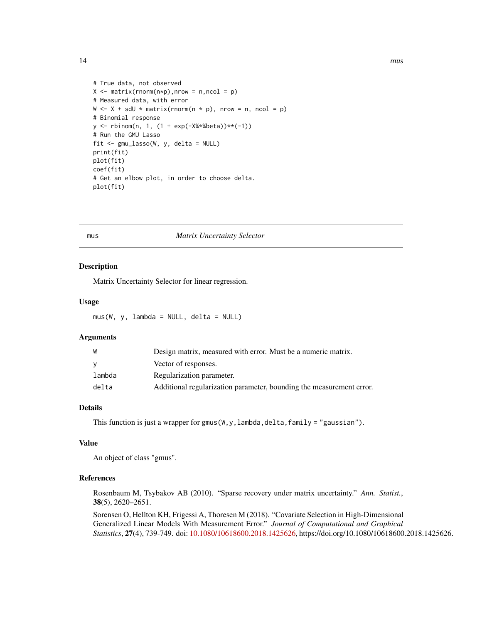```
# True data, not observed
X \leq - matrix(rnorm(n*p), nrow = n, ncol = p)
# Measured data, with error
W \le -X + sdU * matrix(rnorm(n * p), nrow = n, ncol = p)# Binomial response
y <- rbinom(n, 1, (1 + exp(-X%*%beta))**(-1))
# Run the GMU Lasso
fit <- gmu_lasso(W, y, delta = NULL)
print(fit)
plot(fit)
coef(fit)
# Get an elbow plot, in order to choose delta.
plot(fit)
```
#### mus *Matrix Uncertainty Selector*

#### Description

Matrix Uncertainty Selector for linear regression.

#### Usage

mus(W, y, lambda = NULL, delta = NULL)

### Arguments

| W      | Design matrix, measured with error. Must be a numeric matrix.        |
|--------|----------------------------------------------------------------------|
| v      | Vector of responses.                                                 |
| lambda | Regularization parameter.                                            |
| delta  | Additional regularization parameter, bounding the measurement error. |

# Details

This function is just a wrapper for gmus( $W, y$ , lambda, delta, family = "gaussian").

#### Value

An object of class "gmus".

#### References

Rosenbaum M, Tsybakov AB (2010). "Sparse recovery under matrix uncertainty." *Ann. Statist.*, 38(5), 2620–2651.

Sorensen O, Hellton KH, Frigessi A, Thoresen M (2018). "Covariate Selection in High-Dimensional Generalized Linear Models With Measurement Error." *Journal of Computational and Graphical Statistics*, 27(4), 739-749. doi: [10.1080/10618600.2018.1425626,](https://doi.org/10.1080/10618600.2018.1425626) https://doi.org/10.1080/10618600.2018.1425626.

<span id="page-13-0"></span>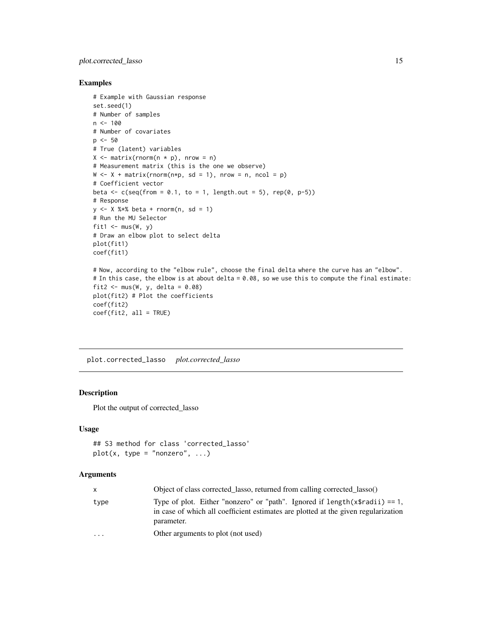# <span id="page-14-0"></span>plot.corrected\_lasso 15

# Examples

```
# Example with Gaussian response
set.seed(1)
# Number of samples
n < -100# Number of covariates
p \le -50# True (latent) variables
X \leq - matrix(rnorm(n * p), nrow = n)
# Measurement matrix (this is the one we observe)
W \le -X + \text{matrix}(r \cdot n \cdot r \cdot n, sd = 1), n \cdot r \cdot (n \cdot n \cdot s \cdot n) = n, n \cdot (s \cdot 1 \cdot n \cdot s \cdot n)# Coefficient vector
beta \leq c(seq(from = 0.1, to = 1, length.out = 5), rep(0, p-5))
# Response
y \le - X %*% beta + rnorm(n, sd = 1)
# Run the MU Selector
fit1 \leq mus(W, y)
# Draw an elbow plot to select delta
plot(fit1)
coef(fit1)
# Now, according to the "elbow rule", choose the final delta where the curve has an "elbow".
# In this case, the elbow is at about delta = 0.08, so we use this to compute the final estimate:
fit2 \leftarrow mus(W, y, delta = 0.08)
plot(fit2) # Plot the coefficients
coef(fit2)
coef(fit2, all = TRUE)
```
plot.corrected\_lasso *plot.corrected\_lasso*

#### Description

Plot the output of corrected\_lasso

#### Usage

```
## S3 method for class 'corrected_lasso'
plot(x, type = "nonzero", ...)
```

| $\mathsf{x}$ | Object of class corrected lasso, returned from calling corrected lasso()                                                                                                           |
|--------------|------------------------------------------------------------------------------------------------------------------------------------------------------------------------------------|
| type         | Type of plot. Either "nonzero" or "path". Ignored if $length(x\$radii) == 1$ .<br>in case of which all coefficient estimates are plotted at the given regularization<br>parameter. |
| $\cdots$     | Other arguments to plot (not used)                                                                                                                                                 |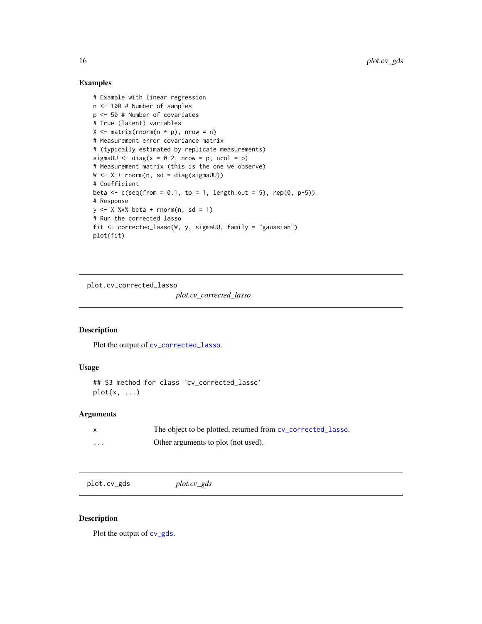# Examples

```
# Example with linear regression
n <- 100 # Number of samples
p <- 50 # Number of covariates
# True (latent) variables
X \leq - matrix(rnorm(n * p), nrow = n)
# Measurement error covariance matrix
# (typically estimated by replicate measurements)
sigmaUU \le diag(x = 0.2, nrow = p, ncol = p)
# Measurement matrix (this is the one we observe)
W \leftarrow X + \text{rnorm}(n, sd = \text{diag}(\text{sigmoid}U))# Coefficient
beta \leq c(seq(from = 0.1, to = 1, length.out = 5), rep(0, p-5))
# Response
y \le - X % \ast beta + rnorm(n, sd = 1)
# Run the corrected lasso
fit <- corrected_lasso(W, y, sigmaUU, family = "gaussian")
plot(fit)
```
plot.cv\_corrected\_lasso

*plot.cv\_corrected\_lasso*

# Description

Plot the output of [cv\\_corrected\\_lasso](#page-5-1).

# Usage

```
## S3 method for class 'cv_corrected_lasso'
plot(x, \ldots)
```
### Arguments

|   | The object to be plotted, returned from cy_corrected_lasso. |
|---|-------------------------------------------------------------|
| . | Other arguments to plot (not used).                         |

```
plot.cv_gds plot.cv_gds
```
#### Description

Plot the output of  $cv_g$ ds.

<span id="page-15-0"></span>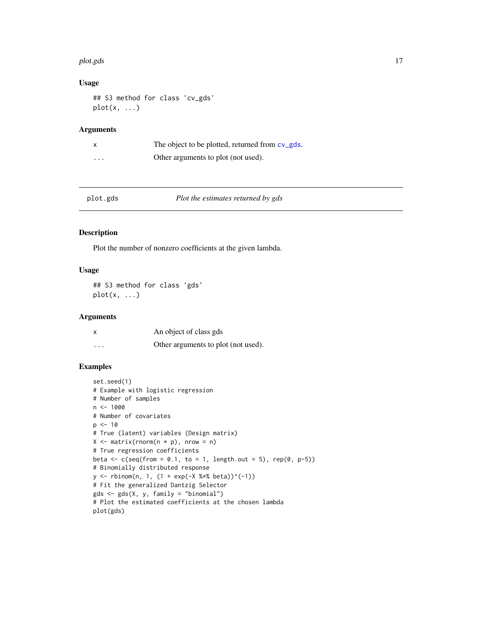#### <span id="page-16-0"></span>plot.gds the contract of the contract of the contract of the contract of the contract of the contract of the contract of the contract of the contract of the contract of the contract of the contract of the contract of the c

# Usage

## S3 method for class 'cv\_gds'  $plot(x, \ldots)$ 

# Arguments

| $\times$ | The object to be plotted, returned from cv_gds. |
|----------|-------------------------------------------------|
| $\cdots$ | Other arguments to plot (not used).             |

| plot.gds |  |
|----------|--|
|          |  |

# plot.gds *Plot the estimates returned by gds*

#### Description

Plot the number of nonzero coefficients at the given lambda.

#### Usage

## S3 method for class 'gds'  $plot(x, \ldots)$ 

### Arguments

| X        | An object of class gds              |
|----------|-------------------------------------|
| $\cdots$ | Other arguments to plot (not used). |

```
set.seed(1)
# Example with logistic regression
# Number of samples
n <- 1000
# Number of covariates
p \le -10# True (latent) variables (Design matrix)
X \leq - matrix(rnorm(n * p), nrow = n)
# True regression coefficients
beta \leq c(seq(from = 0.1, to = 1, length.out = 5), rep(0, p-5))
# Binomially distributed response
y \le - rbinom(n, 1, (1 + exp(-X %*% beta))^(-1))
# Fit the generalized Dantzig Selector
gds <- gds(X, y, family = "binomial")
# Plot the estimated coefficients at the chosen lambda
plot(gds)
```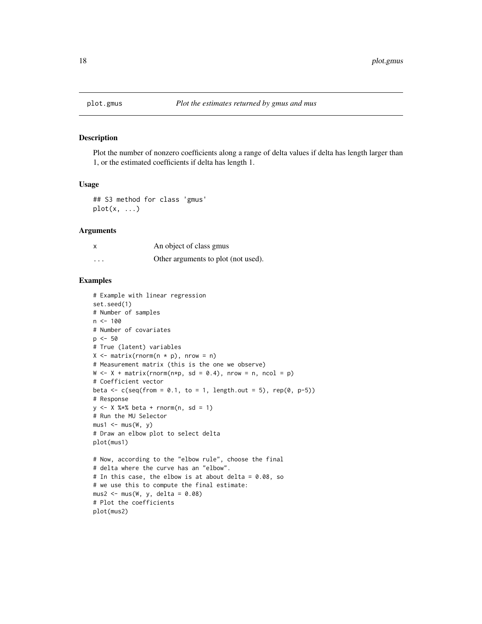<span id="page-17-0"></span>

Plot the number of nonzero coefficients along a range of delta values if delta has length larger than 1, or the estimated coefficients if delta has length 1.

#### Usage

```
## S3 method for class 'gmus'
plot(x, \ldots)
```
#### Arguments

|          | An object of class gmus             |
|----------|-------------------------------------|
| $\cdots$ | Other arguments to plot (not used). |

```
# Example with linear regression
set.seed(1)
# Number of samples
n < -100# Number of covariates
p <- 50
# True (latent) variables
X \leq - matrix(rnorm(n * p), nrow = n)
# Measurement matrix (this is the one we observe)
W \leftarrow X + \text{matrix}(r \cdot n \cdot r, sd = 0.4), n \cdot r \cdot s = n, n \cdot c \cdot 1 = p)# Coefficient vector
beta \leq c(seq(from = 0.1, to = 1, length.out = 5), rep(0, p-5))
# Response
y \le -x %*% beta + rnorm(n, sd = 1)
# Run the MU Selector
mus1 < -mus(W, y)# Draw an elbow plot to select delta
plot(mus1)
# Now, according to the "elbow rule", choose the final
# delta where the curve has an "elbow".
# In this case, the elbow is at about delta = 0.08, so
# we use this to compute the final estimate:
mus2 < -mus(W, y, delta = 0.08)# Plot the coefficients
plot(mus2)
```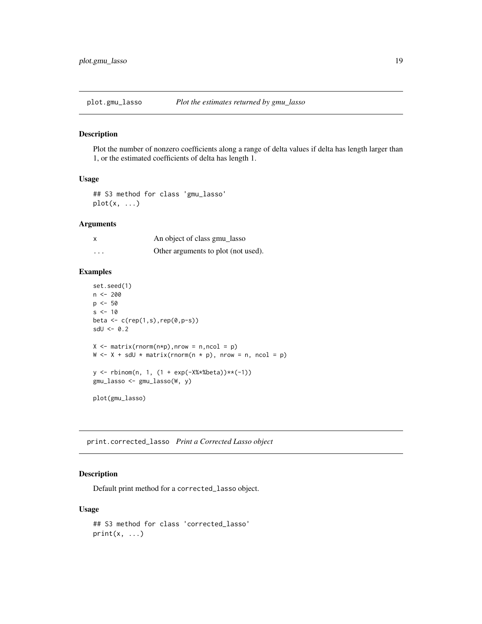<span id="page-18-0"></span>

Plot the number of nonzero coefficients along a range of delta values if delta has length larger than 1, or the estimated coefficients of delta has length 1.

#### Usage

```
## S3 method for class 'gmu_lasso'
plot(x, \ldots)
```
#### Arguments

| x | An object of class gmu_lasso        |
|---|-------------------------------------|
| . | Other arguments to plot (not used). |

#### Examples

```
set.seed(1)
n < - 200p \le -50s < -10beta <- c(rep(1,s),rep(0,p-s))
sdU \leftarrow 0.2X \leq - matrix(rnorm(n*p), nrow = n, ncol = p)
W \leftarrow X + sdU * matrix(rnorm(n * p), nrow = n, ncol = p)y <- rbinom(n, 1, (1 + exp(-X%*%beta))**(-1))
gmu_lasso <- gmu_lasso(W, y)
plot(gmu_lasso)
```
print.corrected\_lasso *Print a Corrected Lasso object*

### Description

Default print method for a corrected\_lasso object.

#### Usage

```
## S3 method for class 'corrected_lasso'
print(x, \ldots)
```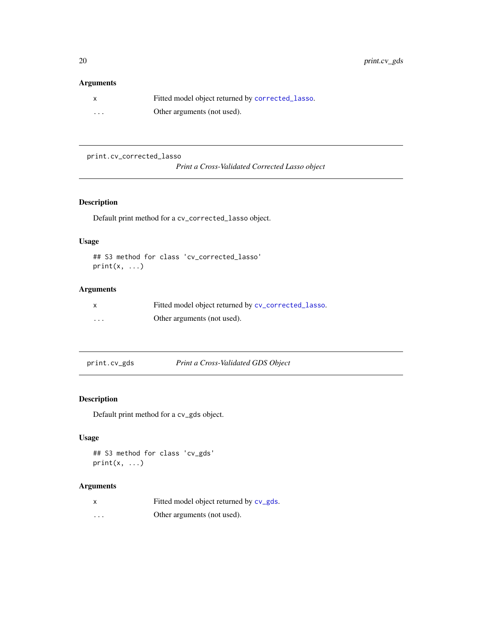# <span id="page-19-0"></span>Arguments

|          | Fitted model object returned by corrected_lasso. |
|----------|--------------------------------------------------|
| $\cdots$ | Other arguments (not used).                      |

print.cv\_corrected\_lasso

*Print a Cross-Validated Corrected Lasso object*

# Description

Default print method for a cv\_corrected\_lasso object.

# Usage

```
## S3 method for class 'cv_corrected_lasso'
print(x, \ldots)
```
# Arguments

| X        | Fitted model object returned by cv_corrected_lasso. |
|----------|-----------------------------------------------------|
| $\cdots$ | Other arguments (not used).                         |

print.cv\_gds *Print a Cross-Validated GDS Object*

# Description

Default print method for a cv\_gds object.

# Usage

```
## S3 method for class 'cv_gds'
print(x, \ldots)
```

|         | Fitted model object returned by cv_gds. |
|---------|-----------------------------------------|
| $\cdot$ | Other arguments (not used).             |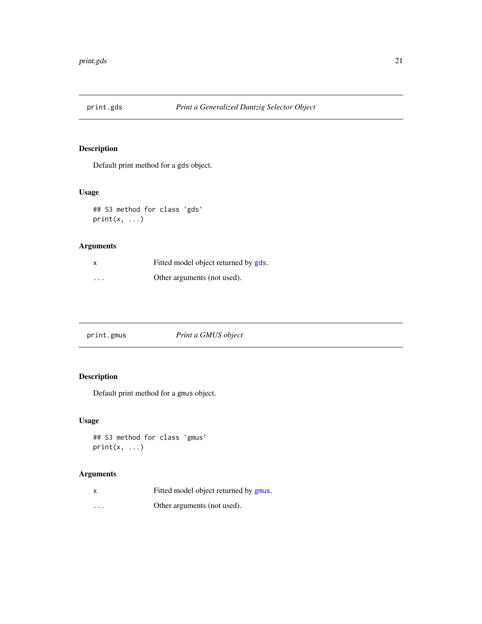<span id="page-20-0"></span>

Default print method for a gds object.

# Usage

```
## S3 method for class 'gds'
print(x, \ldots)
```
# Arguments

|          | Fitted model object returned by gds. |
|----------|--------------------------------------|
| $\cdots$ | Other arguments (not used).          |

| print.gmus | Print a GMUS object |  |
|------------|---------------------|--|
|------------|---------------------|--|

# Description

Default print method for a gmus object.

# Usage

```
## S3 method for class 'gmus'
print(x, \ldots)
```

|          | Fitted model object returned by gmus. |
|----------|---------------------------------------|
| $\cdots$ | Other arguments (not used).           |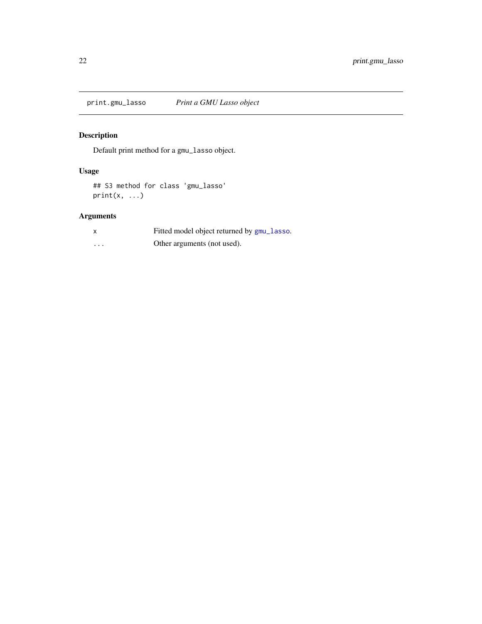<span id="page-21-0"></span>print.gmu\_lasso *Print a GMU Lasso object*

# Description

Default print method for a gmu\_lasso object.

# Usage

```
## S3 method for class 'gmu_lasso'
print(x, \ldots)
```

|          | Fitted model object returned by gmu_lasso. |
|----------|--------------------------------------------|
| $\cdots$ | Other arguments (not used).                |